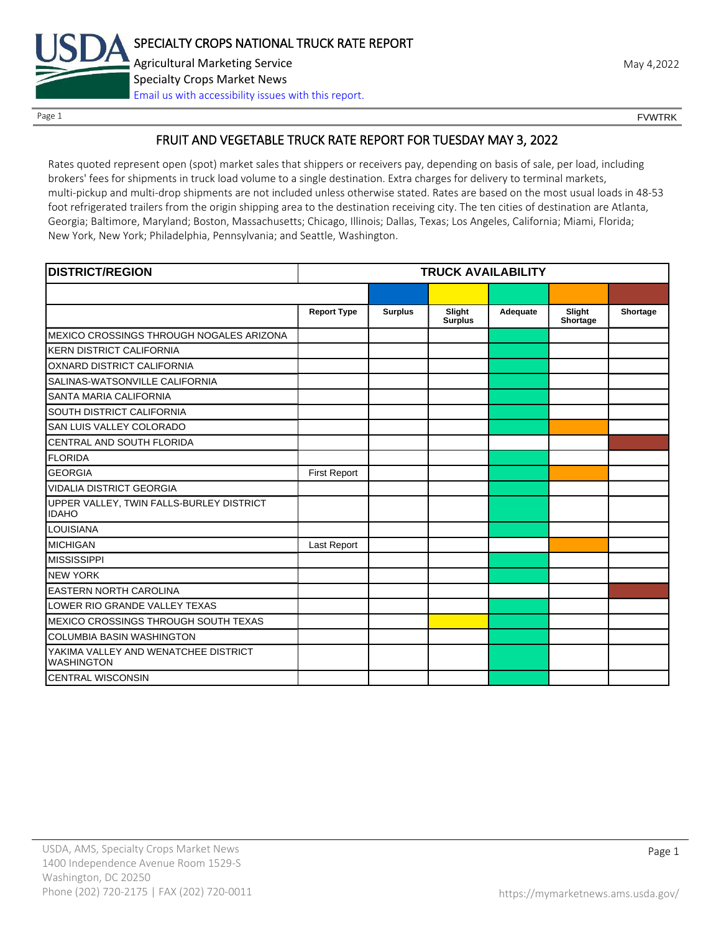

# FRUIT AND VEGETABLE TRUCK RATE REPORT FOR TUESDAY MAY 3, 2022

Rates quoted represent open (spot) market sales that shippers or receivers pay, depending on basis of sale, per load, including brokers' fees for shipments in truck load volume to a single destination. Extra charges for delivery to terminal markets, multi-pickup and multi-drop shipments are not included unless otherwise stated. Rates are based on the most usual loads in 48-53 foot refrigerated trailers from the origin shipping area to the destination receiving city. The ten cities of destination are Atlanta, Georgia; Baltimore, Maryland; Boston, Massachusetts; Chicago, Illinois; Dallas, Texas; Los Angeles, California; Miami, Florida; New York, New York; Philadelphia, Pennsylvania; and Seattle, Washington.

| <b>DISTRICT/REGION</b>                                    |                     |                | <b>TRUCK AVAILABILITY</b> |          |                    |          |
|-----------------------------------------------------------|---------------------|----------------|---------------------------|----------|--------------------|----------|
|                                                           |                     |                |                           |          |                    |          |
|                                                           | <b>Report Type</b>  | <b>Surplus</b> | Slight<br><b>Surplus</b>  | Adequate | Slight<br>Shortage | Shortage |
| MEXICO CROSSINGS THROUGH NOGALES ARIZONA                  |                     |                |                           |          |                    |          |
| <b>KERN DISTRICT CALIFORNIA</b>                           |                     |                |                           |          |                    |          |
| OXNARD DISTRICT CALIFORNIA                                |                     |                |                           |          |                    |          |
| SALINAS-WATSONVILLE CALIFORNIA                            |                     |                |                           |          |                    |          |
| <b>SANTA MARIA CALIFORNIA</b>                             |                     |                |                           |          |                    |          |
| <b>SOUTH DISTRICT CALIFORNIA</b>                          |                     |                |                           |          |                    |          |
| <b>SAN LUIS VALLEY COLORADO</b>                           |                     |                |                           |          |                    |          |
| CENTRAL AND SOUTH FLORIDA                                 |                     |                |                           |          |                    |          |
| <b>FLORIDA</b>                                            |                     |                |                           |          |                    |          |
| <b>GEORGIA</b>                                            | <b>First Report</b> |                |                           |          |                    |          |
| <b>VIDALIA DISTRICT GEORGIA</b>                           |                     |                |                           |          |                    |          |
| UPPER VALLEY, TWIN FALLS-BURLEY DISTRICT<br><b>IDAHO</b>  |                     |                |                           |          |                    |          |
| <b>LOUISIANA</b>                                          |                     |                |                           |          |                    |          |
| <b>MICHIGAN</b>                                           | Last Report         |                |                           |          |                    |          |
| <b>MISSISSIPPI</b>                                        |                     |                |                           |          |                    |          |
| <b>NEW YORK</b>                                           |                     |                |                           |          |                    |          |
| <b>EASTERN NORTH CAROLINA</b>                             |                     |                |                           |          |                    |          |
| LOWER RIO GRANDE VALLEY TEXAS                             |                     |                |                           |          |                    |          |
| <b>MEXICO CROSSINGS THROUGH SOUTH TEXAS</b>               |                     |                |                           |          |                    |          |
| <b>COLUMBIA BASIN WASHINGTON</b>                          |                     |                |                           |          |                    |          |
| YAKIMA VALLEY AND WENATCHEE DISTRICT<br><b>WASHINGTON</b> |                     |                |                           |          |                    |          |
| <b>CENTRAL WISCONSIN</b>                                  |                     |                |                           |          |                    |          |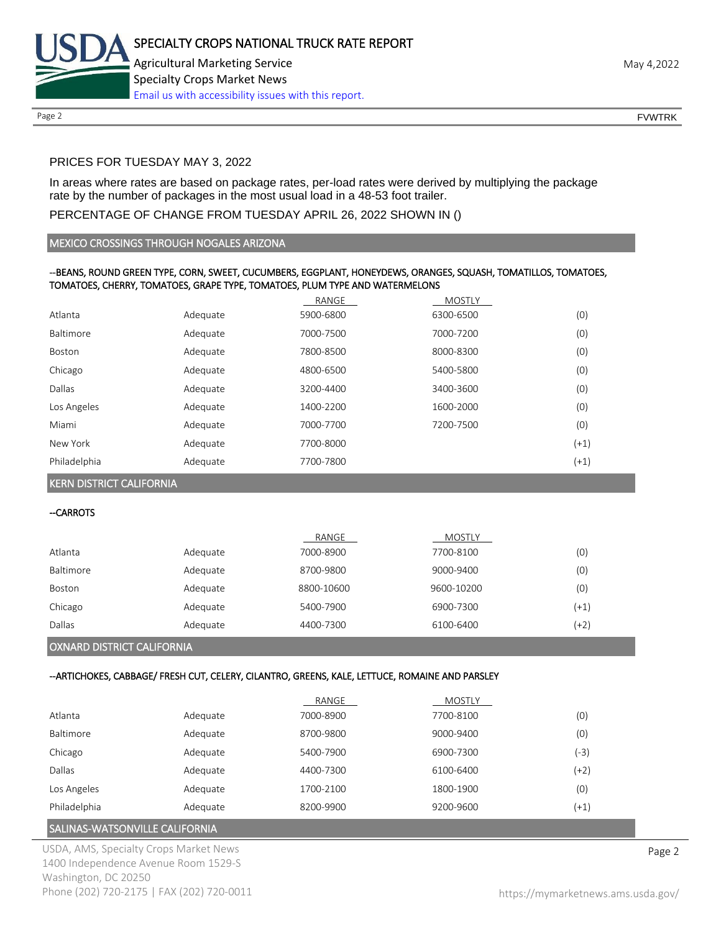

## PRICES FOR TUESDAY MAY 3, 2022

In areas where rates are based on package rates, per-load rates were derived by multiplying the package rate by the number of packages in the most usual load in a 48-53 foot trailer.

#### PERCENTAGE OF CHANGE FROM TUESDAY APRIL 26, 2022 SHOWN IN ()

#### MEXICO CROSSINGS THROUGH NOGALES ARIZONA

#### --BEANS, ROUND GREEN TYPE, CORN, SWEET, CUCUMBERS, EGGPLANT, HONEYDEWS, ORANGES, SQUASH, TOMATILLOS, TOMATOES, TOMATOES, CHERRY, TOMATOES, GRAPE TYPE, TOMATOES, PLUM TYPE AND WATERMELONS

|              |          | RANGE     | <b>MOSTLY</b> |        |
|--------------|----------|-----------|---------------|--------|
| Atlanta      | Adequate | 5900-6800 | 6300-6500     | (0)    |
| Baltimore    | Adequate | 7000-7500 | 7000-7200     | (0)    |
| Boston       | Adequate | 7800-8500 | 8000-8300     | (0)    |
| Chicago      | Adequate | 4800-6500 | 5400-5800     | (0)    |
| Dallas       | Adequate | 3200-4400 | 3400-3600     | (0)    |
| Los Angeles  | Adequate | 1400-2200 | 1600-2000     | (0)    |
| Miami        | Adequate | 7000-7700 | 7200-7500     | (0)    |
| New York     | Adequate | 7700-8000 |               | $(+1)$ |
| Philadelphia | Adequate | 7700-7800 |               | $(+1)$ |

KERN DISTRICT CALIFORNIA

--CARROTS

|               |          | RANGE      | <b>MOSTLY</b> |        |
|---------------|----------|------------|---------------|--------|
| Atlanta       | Adequate | 7000-8900  | 7700-8100     | (0)    |
| Baltimore     | Adequate | 8700-9800  | 9000-9400     | (0)    |
| <b>Boston</b> | Adequate | 8800-10600 | 9600-10200    | (0)    |
| Chicago       | Adequate | 5400-7900  | 6900-7300     | $(+1)$ |
| Dallas        | Adequate | 4400-7300  | 6100-6400     | (+2)   |
|               |          |            |               |        |

#### OXNARD DISTRICT CALIFORNIA

#### --ARTICHOKES, CABBAGE/ FRESH CUT, CELERY, CILANTRO, GREENS, KALE, LETTUCE, ROMAINE AND PARSLEY

|              |          | RANGE     | <b>MOSTLY</b> |        |
|--------------|----------|-----------|---------------|--------|
| Atlanta      | Adequate | 7000-8900 | 7700-8100     | (0)    |
| Baltimore    | Adequate | 8700-9800 | 9000-9400     | (0)    |
| Chicago      | Adequate | 5400-7900 | 6900-7300     | $-3)$  |
| Dallas       | Adequate | 4400-7300 | 6100-6400     | (+2)   |
| Los Angeles  | Adequate | 1700-2100 | 1800-1900     | (0)    |
| Philadelphia | Adequate | 8200-9900 | 9200-9600     | $(+1)$ |

## SALINAS-WATSONVILLE CALIFORNIA

USDA, AMS, Specialty Crops Market News **Page 2** 1400 Independence Avenue Room 1529-S Washington, DC 20250 Phone (202) 720-2175 | FAX (202) 720-0011 <https://mymarketnews.ams.usda.gov/>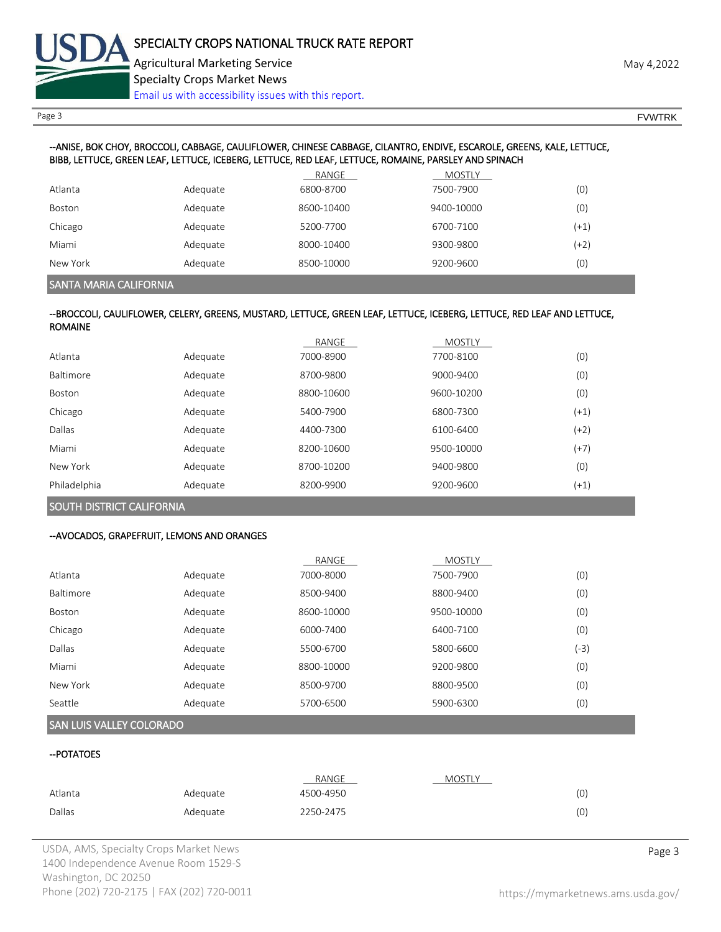

Page 3 FOUNTRK And the set of the set of the set of the set of the set of the set of the set of the set of the set of the set of the set of the set of the set of the set of the set of the set of the set of the set of the s

### --ANISE, BOK CHOY, BROCCOLI, CABBAGE, CAULIFLOWER, CHINESE CABBAGE, CILANTRO, ENDIVE, ESCAROLE, GREENS, KALE, LETTUCE, BIBB, LETTUCE, GREEN LEAF, LETTUCE, ICEBERG, LETTUCE, RED LEAF, LETTUCE, ROMAINE, PARSLEY AND SPINACH

|               |          | RANGE      | <b>MOSTLY</b> |        |
|---------------|----------|------------|---------------|--------|
| Atlanta       | Adequate | 6800-8700  | 7500-7900     | (0)    |
| <b>Boston</b> | Adequate | 8600-10400 | 9400-10000    | (0)    |
| Chicago       | Adequate | 5200-7700  | 6700-7100     | $(+1)$ |
| Miami         | Adequate | 8000-10400 | 9300-9800     | (+2)   |
| New York      | Adequate | 8500-10000 | 9200-9600     | (0)    |

SANTA MARIA CALIFORNIA

#### --BROCCOLI, CAULIFLOWER, CELERY, GREENS, MUSTARD, LETTUCE, GREEN LEAF, LETTUCE, ICEBERG, LETTUCE, RED LEAF AND LETTUCE, ROMAINE

|               |          | RANGE      | <b>MOSTLY</b> |        |
|---------------|----------|------------|---------------|--------|
| Atlanta       | Adequate | 7000-8900  | 7700-8100     | (0)    |
| Baltimore     | Adequate | 8700-9800  | 9000-9400     | (0)    |
| <b>Boston</b> | Adequate | 8800-10600 | 9600-10200    | (0)    |
| Chicago       | Adequate | 5400-7900  | 6800-7300     | $(+1)$ |
| Dallas        | Adequate | 4400-7300  | 6100-6400     | $(+2)$ |
| Miami         | Adequate | 8200-10600 | 9500-10000    | $(+7)$ |
| New York      | Adequate | 8700-10200 | 9400-9800     | (0)    |
| Philadelphia  | Adequate | 8200-9900  | 9200-9600     | $(+1)$ |

## SOUTH DISTRICT CALIFORNIA

### --AVOCADOS, GRAPEFRUIT, LEMONS AND ORANGES

|           |          | RANGE      | <b>MOSTLY</b> |      |
|-----------|----------|------------|---------------|------|
| Atlanta   | Adequate | 7000-8000  | 7500-7900     | (0)  |
| Baltimore | Adequate | 8500-9400  | 8800-9400     | (0)  |
| Boston    | Adequate | 8600-10000 | 9500-10000    | (0)  |
| Chicago   | Adequate | 6000-7400  | 6400-7100     | (0)  |
| Dallas    | Adequate | 5500-6700  | 5800-6600     | (-3) |
| Miami     | Adequate | 8800-10000 | 9200-9800     | (0)  |
| New York  | Adequate | 8500-9700  | 8800-9500     | (0)  |
| Seattle   | Adequate | 5700-6500  | 5900-6300     | (0)  |

# SAN LUIS VALLEY COLORADO

### --POTATOES

|         |          | RANGE     | <b>MOSTLY</b> |     |
|---------|----------|-----------|---------------|-----|
| Atlanta | Adequate | 4500-4950 |               | (0) |
| Dallas  | Adequate | 2250-2475 |               | (0) |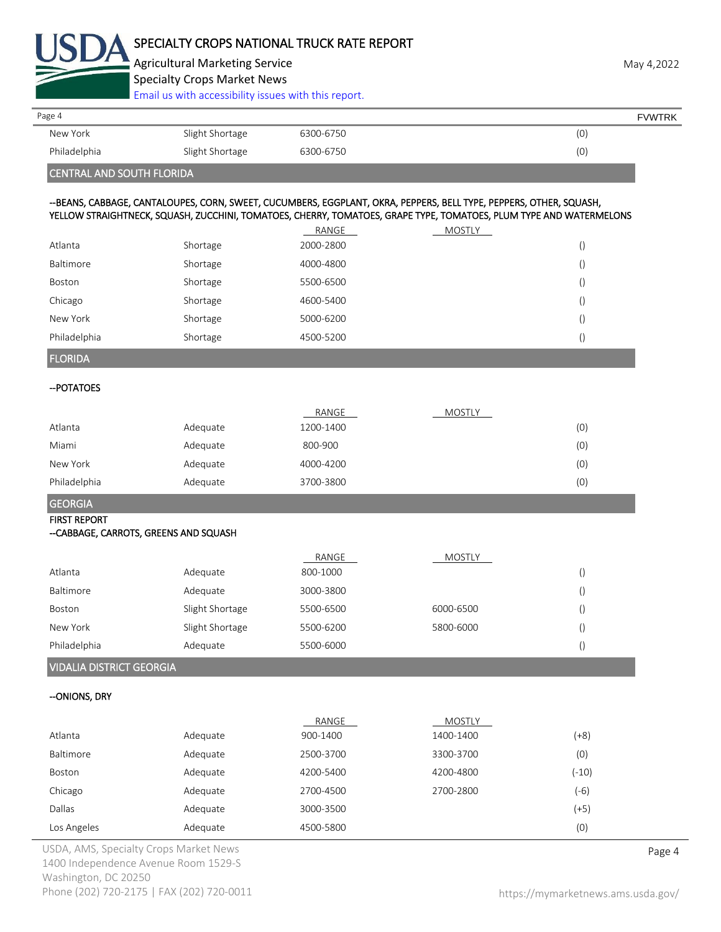

Agricultural Marketing Service **May 4,2022** Specialty Crops Market News

[Email us with accessibility issues with this report.](mailto:mars@ams.usda.gov?subject=508%20Inquiry/Report)

| Page 4       |                 |           | <b>FVWTRK</b> |
|--------------|-----------------|-----------|---------------|
| New York     | Slight Shortage | 6300-6750 | (0)           |
| Philadelphia | Slight Shortage | 6300-6750 | (0)           |
|              |                 |           |               |

# CENTRAL AND SOUTH FLORIDA

#### --BEANS, CABBAGE, CANTALOUPES, CORN, SWEET, CUCUMBERS, EGGPLANT, OKRA, PEPPERS, BELL TYPE, PEPPERS, OTHER, SQUASH, YELLOW STRAIGHTNECK, SQUASH, ZUCCHINI, TOMATOES, CHERRY, TOMATOES, GRAPE TYPE, TOMATOES, PLUM TYPE AND WATERMELONS

|                |          | RANGE     | MOSTLY |                  |
|----------------|----------|-----------|--------|------------------|
| Atlanta        | Shortage | 2000-2800 |        | $\cup$           |
| Baltimore      | Shortage | 4000-4800 |        | $\cup$           |
| Boston         | Shortage | 5500-6500 |        | $\left($         |
| Chicago        | Shortage | 4600-5400 |        | $\left($         |
| New York       | Shortage | 5000-6200 |        | $\left( \right)$ |
| Philadelphia   | Shortage | 4500-5200 |        | $\cup$           |
| <b>FLORIDA</b> |          |           |        |                  |

# --POTATOES

|              |          | RANGE     | <b>MOSTLY</b> |     |
|--------------|----------|-----------|---------------|-----|
| Atlanta      | Adequate | 1200-1400 |               | (0) |
| Miami        | Adequate | 800-900   |               | (0) |
| New York     | Adequate | 4000-4200 |               | (0) |
| Philadelphia | Adequate | 3700-3800 |               | (0) |

# GEORGIA

#### FIRST REPORT --CABBAGE, CARROTS, GREENS AND SQUASH

|              |                 | RANGE     | <b>MOSTLY</b> |  |
|--------------|-----------------|-----------|---------------|--|
| Atlanta      | Adequate        | 800-1000  |               |  |
| Baltimore    | Adequate        | 3000-3800 |               |  |
| Boston       | Slight Shortage | 5500-6500 | 6000-6500     |  |
| New York     | Slight Shortage | 5500-6200 | 5800-6000     |  |
| Philadelphia | Adequate        | 5500-6000 |               |  |
|              |                 |           |               |  |

# VIDALIA DISTRICT GEORGIA

### --ONIONS, DRY

|             |          | RANGE     | MOSTLY    |        |
|-------------|----------|-----------|-----------|--------|
| Atlanta     | Adequate | 900-1400  | 1400-1400 | $(+8)$ |
| Baltimore   | Adequate | 2500-3700 | 3300-3700 | (0)    |
| Boston      | Adequate | 4200-5400 | 4200-4800 | (-10)  |
| Chicago     | Adequate | 2700-4500 | 2700-2800 | (-6)   |
| Dallas      | Adequate | 3000-3500 |           | $(+5)$ |
| Los Angeles | Adequate | 4500-5800 |           | (0)    |

USDA, AMS, Specialty Crops Market News **Page 4** 1400 Independence Avenue Room 1529-S Washington, DC 20250 Phone (202) 720-2175 | FAX (202) 720-0011 <https://mymarketnews.ams.usda.gov/>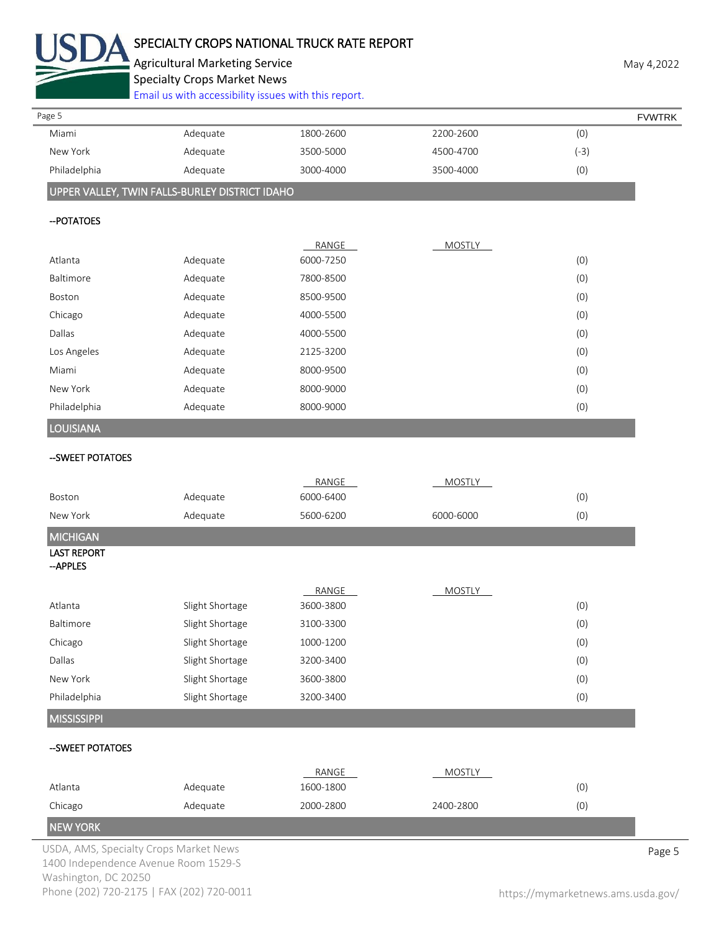

# SPECIALTY CROPS NATIONAL TRUCK RATE REPORT

Agricultural Marketing Service **May 4,2022** May 4,2022

Specialty Crops Market News

[Email us with accessibility issues with this report.](mailto:mars@ams.usda.gov?subject=508%20Inquiry/Report)

| Page 5                                 |                                                |           |               |        | <b>FVWTRK</b> |
|----------------------------------------|------------------------------------------------|-----------|---------------|--------|---------------|
| Miami                                  | Adequate                                       | 1800-2600 | 2200-2600     | (0)    |               |
| New York                               | Adequate                                       | 3500-5000 | 4500-4700     | $(-3)$ |               |
| Philadelphia                           | Adequate                                       | 3000-4000 | 3500-4000     | (0)    |               |
|                                        | UPPER VALLEY, TWIN FALLS-BURLEY DISTRICT IDAHO |           |               |        |               |
| -- POTATOES                            |                                                |           |               |        |               |
|                                        |                                                | RANGE     | <b>MOSTLY</b> |        |               |
| Atlanta                                | Adequate                                       | 6000-7250 |               | (0)    |               |
| Baltimore                              | Adequate                                       | 7800-8500 |               | (0)    |               |
| Boston                                 | Adequate                                       | 8500-9500 |               | (0)    |               |
| Chicago                                | Adequate                                       | 4000-5500 |               | (0)    |               |
| Dallas                                 | Adequate                                       | 4000-5500 |               | (0)    |               |
| Los Angeles                            | Adequate                                       | 2125-3200 |               | (0)    |               |
| Miami                                  | Adequate                                       | 8000-9500 |               | (0)    |               |
| New York                               | Adequate                                       | 8000-9000 |               | (0)    |               |
| Philadelphia                           | Adequate                                       | 8000-9000 |               | (0)    |               |
| LOUISIANA                              |                                                |           |               |        |               |
| --SWEET POTATOES                       |                                                |           |               |        |               |
|                                        |                                                | RANGE     | <b>MOSTLY</b> |        |               |
| Boston<br>New York                     | Adequate                                       | 6000-6400 |               | (0)    |               |
|                                        | Adequate                                       | 5600-6200 | 6000-6000     | (0)    |               |
| <b>MICHIGAN</b><br><b>LAST REPORT</b>  |                                                |           |               |        |               |
| -- APPLES                              |                                                |           |               |        |               |
|                                        |                                                | RANGE     | <b>MOSTLY</b> |        |               |
| Atlanta                                | Slight Shortage                                | 3600-3800 |               | (0)    |               |
| Baltimore                              | Slight Shortage                                | 3100-3300 |               | (0)    |               |
| Chicago                                | Slight Shortage                                | 1000-1200 |               | (0)    |               |
| Dallas                                 | Slight Shortage                                | 3200-3400 |               | (0)    |               |
| New York                               | Slight Shortage                                | 3600-3800 |               | (0)    |               |
| Philadelphia                           | Slight Shortage                                | 3200-3400 |               | (0)    |               |
| <b>MISSISSIPPI</b>                     |                                                |           |               |        |               |
| -- SWEET POTATOES                      |                                                |           |               |        |               |
|                                        |                                                | RANGE     | <b>MOSTLY</b> |        |               |
| Atlanta                                | Adequate                                       | 1600-1800 |               | (0)    |               |
| Chicago                                | Adequate                                       | 2000-2800 | 2400-2800     | (0)    |               |
| <b>NEW YORK</b>                        |                                                |           |               |        |               |
| USDA, AMS, Specialty Crops Market News |                                                |           |               |        | Page 5        |

1400 Independence Avenue Room 1529-S Washington, DC 20250 Phone (202) 720-2175 | FAX (202) 720-0011 <https://mymarketnews.ams.usda.gov/>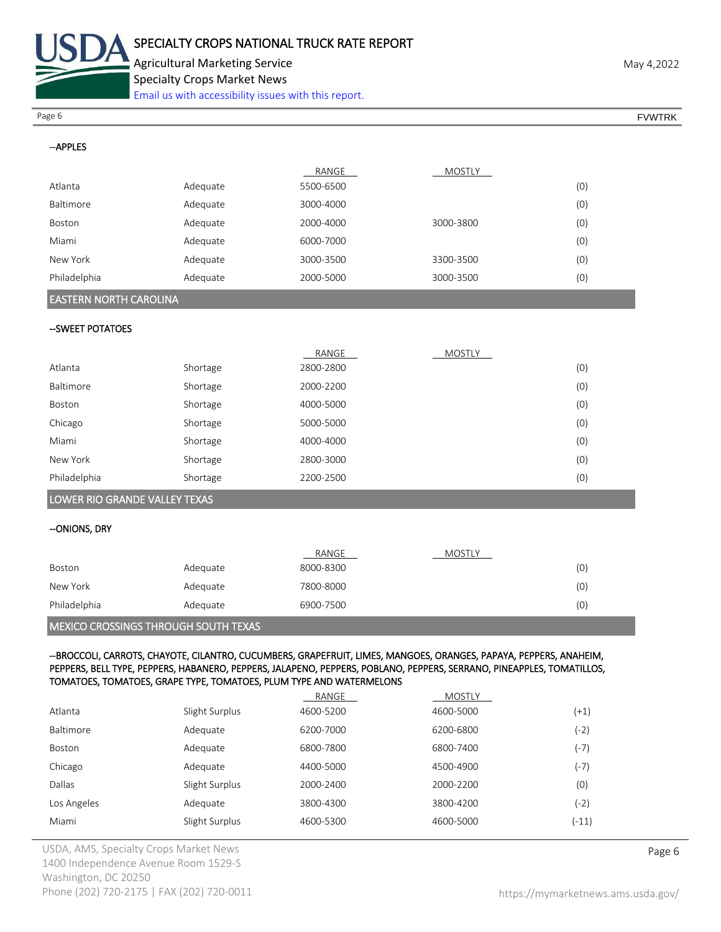

Specialty Crops Market News

[Email us with accessibility issues with this report.](mailto:mars@ams.usda.gov?subject=508%20Inquiry/Report)

Page 6 FVWTRK

| --APPLES                                                                                                                                                                                                                                                                                                          |                |           |               |        |  |  |
|-------------------------------------------------------------------------------------------------------------------------------------------------------------------------------------------------------------------------------------------------------------------------------------------------------------------|----------------|-----------|---------------|--------|--|--|
|                                                                                                                                                                                                                                                                                                                   |                | RANGE     | MOSTLY        |        |  |  |
| Atlanta                                                                                                                                                                                                                                                                                                           | Adequate       | 5500-6500 |               | (0)    |  |  |
| Baltimore                                                                                                                                                                                                                                                                                                         | Adequate       | 3000-4000 |               | (0)    |  |  |
| Boston                                                                                                                                                                                                                                                                                                            | Adequate       | 2000-4000 | 3000-3800     | (0)    |  |  |
| Miami                                                                                                                                                                                                                                                                                                             | Adequate       | 6000-7000 |               | (0)    |  |  |
| New York                                                                                                                                                                                                                                                                                                          | Adequate       | 3000-3500 | 3300-3500     | (0)    |  |  |
| Philadelphia                                                                                                                                                                                                                                                                                                      | Adequate       | 2000-5000 | 3000-3500     | (0)    |  |  |
| <b>EASTERN NORTH CAROLINA</b>                                                                                                                                                                                                                                                                                     |                |           |               |        |  |  |
| --SWEET POTATOES                                                                                                                                                                                                                                                                                                  |                |           |               |        |  |  |
|                                                                                                                                                                                                                                                                                                                   |                | RANGE     | MOSTLY        |        |  |  |
| Atlanta                                                                                                                                                                                                                                                                                                           | Shortage       | 2800-2800 |               | (0)    |  |  |
| Baltimore                                                                                                                                                                                                                                                                                                         | Shortage       | 2000-2200 |               | (0)    |  |  |
| Boston                                                                                                                                                                                                                                                                                                            | Shortage       | 4000-5000 |               | (0)    |  |  |
| Chicago                                                                                                                                                                                                                                                                                                           | Shortage       | 5000-5000 |               | (0)    |  |  |
| Miami                                                                                                                                                                                                                                                                                                             | Shortage       | 4000-4000 |               | (0)    |  |  |
| New York                                                                                                                                                                                                                                                                                                          | Shortage       | 2800-3000 |               | (0)    |  |  |
| Philadelphia                                                                                                                                                                                                                                                                                                      | Shortage       | 2200-2500 |               | (0)    |  |  |
| LOWER RIO GRANDE VALLEY TEXAS                                                                                                                                                                                                                                                                                     |                |           |               |        |  |  |
| --ONIONS, DRY                                                                                                                                                                                                                                                                                                     |                |           |               |        |  |  |
|                                                                                                                                                                                                                                                                                                                   |                | RANGE     | MOSTLY        |        |  |  |
| Boston                                                                                                                                                                                                                                                                                                            | Adequate       | 8000-8300 |               | (0)    |  |  |
| New York                                                                                                                                                                                                                                                                                                          | Adequate       | 7800-8000 |               | (0)    |  |  |
| Philadelphia                                                                                                                                                                                                                                                                                                      | Adequate       | 6900-7500 |               | (0)    |  |  |
| MEXICO CROSSINGS THROUGH SOUTH TEXAS                                                                                                                                                                                                                                                                              |                |           |               |        |  |  |
| --BROCCOLI, CARROTS, CHAYOTE, CILANTRO, CUCUMBERS, GRAPEFRUIT, LIMES, MANGOES, ORANGES, PAPAYA, PEPPERS, ANAHEIM,<br>PEPPERS, BELL TYPE, PEPPERS, HABANERO, PEPPERS, JALAPENO, PEPPERS, POBLANO, PEPPERS, SERRANO, PINEAPPLES, TOMATILLOS,<br>TOMATOES, TOMATOES, GRAPE TYPE, TOMATOES, PLUM TYPE AND WATERMELONS |                |           |               |        |  |  |
|                                                                                                                                                                                                                                                                                                                   |                | RANGE     | <b>MOSTLY</b> |        |  |  |
| Atlanta                                                                                                                                                                                                                                                                                                           | Slight Surplus | 4600-5200 | 4600-5000     | $(+1)$ |  |  |

|               | - <b>,</b> , - <b>- .</b> |           |           | $-1$               |
|---------------|---------------------------|-----------|-----------|--------------------|
| Baltimore     | Adequate                  | 6200-7000 | 6200-6800 | (-2)               |
| <b>Boston</b> | Adequate                  | 6800-7800 | 6800-7400 | $(-7)$             |
| Chicago       | Adequate                  | 4400-5000 | 4500-4900 | $(-7)$             |
| Dallas        | Slight Surplus            | 2000-2400 | 2000-2200 | (0)                |
| Los Angeles   | Adequate                  | 3800-4300 | 3800-4200 | $\left( -2\right)$ |
| Miami         | Slight Surplus            | 4600-5300 | 4600-5000 | (-11)              |
|               |                           |           |           |                    |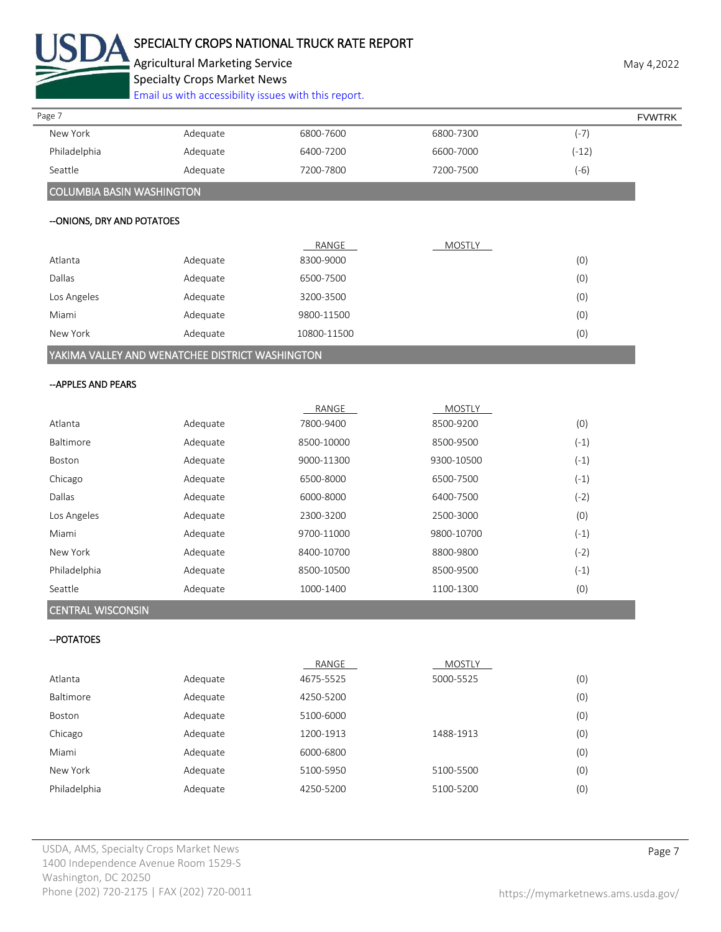

# SPECIALTY CROPS NATIONAL TRUCK RATE REPORT

Agricultural Marketing Service **May 4,2022** 

Specialty Crops Market News

[Email us with accessibility issues with this report.](mailto:mars@ams.usda.gov?subject=508%20Inquiry/Report)

| Page 7                    |          |           |           |        | <b>FVWTRK</b> |
|---------------------------|----------|-----------|-----------|--------|---------------|
| New York                  | Adequate | 6800-7600 | 6800-7300 | $(-7)$ |               |
| Philadelphia              | Adequate | 6400-7200 | 6600-7000 | (-12)  |               |
| Seattle                   | Adequate | 7200-7800 | 7200-7500 | $(-6)$ |               |
| COLUMBIA BASIN WASHINGTON |          |           |           |        |               |

#### --ONIONS, DRY AND POTATOES

|                                                         |          | RANGE       | <b>MOSTLY</b> |     |
|---------------------------------------------------------|----------|-------------|---------------|-----|
| Atlanta                                                 | Adequate | 8300-9000   |               | (0) |
| Dallas                                                  | Adequate | 6500-7500   |               | (0) |
| Los Angeles                                             | Adequate | 3200-3500   |               | (0) |
| Miami                                                   | Adequate | 9800-11500  |               | (0) |
| New York                                                | Adequate | 10800-11500 |               | (0) |
| VARIE ALVALLEVALIS VIELLETOLIEE SIGTSIOT VILLOUILIOTOLI |          |             |               |     |

# YAKIMA VALLEY AND WENATCHEE DISTRICT WASHINGTON

### --APPLES AND PEARS

|               |          | RANGE      | <b>MOSTLY</b> |        |
|---------------|----------|------------|---------------|--------|
| Atlanta       | Adequate | 7800-9400  | 8500-9200     | (0)    |
| Baltimore     | Adequate | 8500-10000 | 8500-9500     | (-1)   |
| <b>Boston</b> | Adequate | 9000-11300 | 9300-10500    | $(-1)$ |
| Chicago       | Adequate | 6500-8000  | 6500-7500     | (-1)   |
| Dallas        | Adequate | 6000-8000  | 6400-7500     | $(-2)$ |
| Los Angeles   | Adequate | 2300-3200  | 2500-3000     | (0)    |
| Miami         | Adequate | 9700-11000 | 9800-10700    | $(-1)$ |
| New York      | Adequate | 8400-10700 | 8800-9800     | $(-2)$ |
| Philadelphia  | Adequate | 8500-10500 | 8500-9500     | $(-1)$ |
| Seattle       | Adequate | 1000-1400  | 1100-1300     | (0)    |

## CENTRAL WISCONSIN

## --POTATOES

|              |          | RANGE     | <b>MOSTLY</b> |     |
|--------------|----------|-----------|---------------|-----|
| Atlanta      | Adequate | 4675-5525 | 5000-5525     | (0) |
| Baltimore    | Adequate | 4250-5200 |               | (0) |
| Boston       | Adequate | 5100-6000 |               | (0) |
| Chicago      | Adequate | 1200-1913 | 1488-1913     | (0) |
| Miami        | Adequate | 6000-6800 |               | (0) |
| New York     | Adequate | 5100-5950 | 5100-5500     | (0) |
| Philadelphia | Adequate | 4250-5200 | 5100-5200     | (0) |